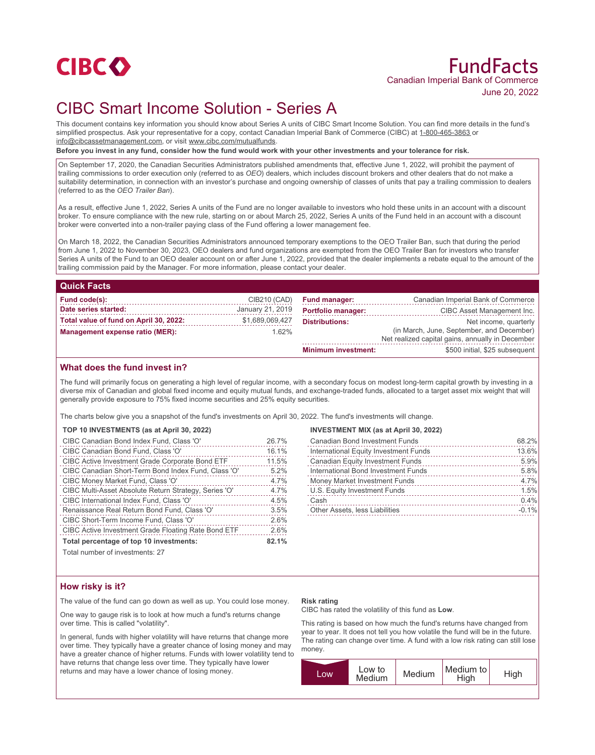

# FundFacts Canadian Imperial Bank of Commerce June 20, 2022

# CIBC Smart Income Solution - Series A

This document contains key information you should know about Series A units of CIBC Smart Income Solution. You can find more details in the fund's simplified prospectus. Ask your representative for a copy, contact Canadian Imperial Bank of Commerce (CIBC) at 1-800-465-3863 or info@cibcassetmanagement.com, or visit www.cibc.com/mutualfunds.

**Before you invest in any fund, consider how the fund would work with your other investments and your tolerance for risk.**

On September 17, 2020, the Canadian Securities Administrators published amendments that, effective June 1, 2022, will prohibit the payment of trailing commissions to order execution only (referred to as *OEO*) dealers, which includes discount brokers and other dealers that do not make a suitability determination, in connection with an investor's purchase and ongoing ownership of classes of units that pay a trailing commission to dealers (referred to as the *OEO Trailer Ban*).

As a result, effective June 1, 2022, Series A units of the Fund are no longer available to investors who hold these units in an account with a discount broker. To ensure compliance with the new rule, starting on or about March 25, 2022, Series A units of the Fund held in an account with a discount broker were converted into a non-trailer paying class of the Fund offering a lower management fee.

On March 18, 2022, the Canadian Securities Administrators announced temporary exemptions to the OEO Trailer Ban, such that during the period from June 1, 2022 to November 30, 2023, OEO dealers and fund organizations are exempted from the OEO Trailer Ban for investors who transfer Series A units of the Fund to an OEO dealer account on or after June 1, 2022, provided that the dealer implements a rebate equal to the amount of the trailing commission paid by the Manager. For more information, please contact your dealer.

| <b>Quick Facts</b>                     |                  |                            |                                                                                               |
|----------------------------------------|------------------|----------------------------|-----------------------------------------------------------------------------------------------|
| Fund code(s):                          | CIB210 (CAD)     | <b>Fund manager:</b>       | Canadian Imperial Bank of Commerce                                                            |
| Date series started:                   | January 21, 2019 | <b>Portfolio manager:</b>  | CIBC Asset Management Inc.                                                                    |
| Total value of fund on April 30, 2022: | \$1,689,069,427  | <b>Distributions:</b>      | Net income, quarterly                                                                         |
| Management expense ratio (MER):        | $1.62\%$         |                            | (in March, June, September, and December)<br>Net realized capital gains, annually in December |
|                                        |                  | <b>Minimum investment:</b> | \$500 initial, \$25 subsequent                                                                |

## **What does the fund invest in?**

The fund will primarily focus on generating a high level of regular income, with a secondary focus on modest long-term capital growth by investing in a diverse mix of Canadian and global fixed income and equity mutual funds, and exchange-traded funds, allocated to a target asset mix weight that will generally provide exposure to 75% fixed income securities and 25% equity securities.

The charts below give you a snapshot of the fund's investments on April 30, 2022. The fund's investments will change.

|  | TOP 10 INVESTMENTS (as at April 30, 2022) |  |  |
|--|-------------------------------------------|--|--|
|--|-------------------------------------------|--|--|

| CIBC Canadian Bond Index Fund, Class 'O'                   | 26.7% |
|------------------------------------------------------------|-------|
| CIBC Canadian Bond Fund, Class 'O'                         | 16.1% |
| <b>CIBC Active Investment Grade Corporate Bond ETF</b>     | 11.5% |
| CIBC Canadian Short-Term Bond Index Fund, Class 'O'        | 5.2%  |
| CIBC Money Market Fund, Class 'O'                          | 4.7%  |
| CIBC Multi-Asset Absolute Return Strategy, Series 'O'      | 4.7%  |
| CIBC International Index Fund, Class 'O'                   | 4.5%  |
| Renaissance Real Return Bond Fund, Class 'O'               | 3.5%  |
| CIBC Short-Term Income Fund, Class 'O'                     | 2.6%  |
| <b>CIBC Active Investment Grade Floating Rate Bond ETF</b> | 2.6%  |
| Total percentage of top 10 investments:                    | 82.1% |

Total number of investments: 27

#### **INVESTMENT MIX (as at April 30, 2022)**

| <b>Canadian Bond Investment Funds</b>   | 68.2%   |
|-----------------------------------------|---------|
| International Equity Investment Funds   | 13.6%   |
| <b>Canadian Equity Investment Funds</b> | 5.9%    |
| International Bond Investment Funds     | 5.8%    |
| Money Market Investment Funds           | 4.7%    |
| U.S. Equity Investment Funds            | 1.5%    |
| Cash                                    | 0.4%    |
| Other Assets, less Liabilities          | $-0.1%$ |

## **How risky is it?**

The value of the fund can go down as well as up. You could lose money.

One way to gauge risk is to look at how much a fund's returns change over time. This is called "volatility".

In general, funds with higher volatility will have returns that change more over time. They typically have a greater chance of losing money and may have a greater chance of higher returns. Funds with lower volatility tend to have returns that change less over time. They typically have lower returns and may have a lower chance of losing money.

#### **Risk rating**

CIBC has rated the volatility of this fund as **Low**.

This rating is based on how much the fund's returns have changed from year to year. It does not tell you how volatile the fund will be in the future. The rating can change over time. A fund with a low risk rating can still lose money.

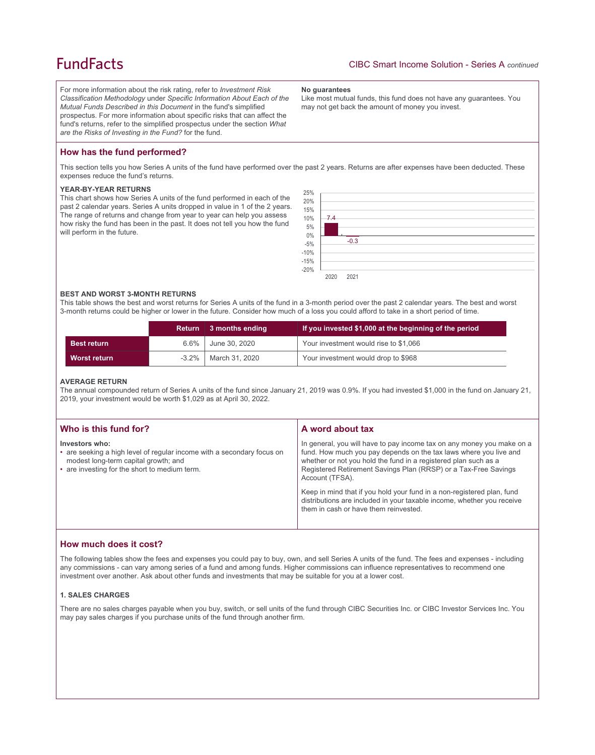## **FundFacts**

For more information about the risk rating, refer to *Investment Risk Classification Methodology* under *Specific Information About Each of the Mutual Funds Described in this Document* in the fund's simplified prospectus. For more information about specific risks that can affect the fund's returns, refer to the simplified prospectus under the section *What are the Risks of Investing in the Fund?* for the fund.

#### **No guarantees**

Like most mutual funds, this fund does not have any guarantees. You may not get back the amount of money you invest.

## **How has the fund performed?**

This section tells you how Series A units of the fund have performed over the past 2 years. Returns are after expenses have been deducted. These expenses reduce the fund's returns.

#### **YEAR-BY-YEAR RETURNS**

This chart shows how Series A units of the fund performed in each of the past 2 calendar years. Series A units dropped in value in 1 of the 2 years. The range of returns and change from year to year can help you assess how risky the fund has been in the past. It does not tell you how the fund will perform in the future.



#### **BEST AND WORST 3-MONTH RETURNS**

This table shows the best and worst returns for Series A units of the fund in a 3-month period over the past 2 calendar years. The best and worst 3-month returns could be higher or lower in the future. Consider how much of a loss you could afford to take in a short period of time.

|                     | <b>Return</b> | 3 months ending | If you invested \$1,000 at the beginning of the period |
|---------------------|---------------|-----------------|--------------------------------------------------------|
| <b>Best return</b>  | $6.6\%$       | June 30, 2020   | Your investment would rise to \$1,066                  |
| <b>Worst return</b> | $-3.2\%$      | March 31, 2020  | Your investment would drop to \$968                    |

#### **AVERAGE RETURN**

The annual compounded return of Series A units of the fund since January 21, 2019 was 0.9%. If you had invested \$1,000 in the fund on January 21, 2019, your investment would be worth \$1,029 as at April 30, 2022.

| Who is this fund for?                                                                                                                                                             | A word about tax                                                                                                                                                                                                                                                                                     |
|-----------------------------------------------------------------------------------------------------------------------------------------------------------------------------------|------------------------------------------------------------------------------------------------------------------------------------------------------------------------------------------------------------------------------------------------------------------------------------------------------|
| Investors who:<br>• are seeking a high level of regular income with a secondary focus on<br>modest long-term capital growth; and<br>• are investing for the short to medium term. | In general, you will have to pay income tax on any money you make on a<br>fund. How much you pay depends on the tax laws where you live and<br>whether or not you hold the fund in a registered plan such as a<br>Registered Retirement Savings Plan (RRSP) or a Tax-Free Savings<br>Account (TFSA). |
|                                                                                                                                                                                   | Keep in mind that if you hold your fund in a non-registered plan, fund<br>distributions are included in your taxable income, whether you receive<br>them in cash or have them reinvested.                                                                                                            |

### **How much does it cost?**

The following tables show the fees and expenses you could pay to buy, own, and sell Series A units of the fund. The fees and expenses - including any commissions - can vary among series of a fund and among funds. Higher commissions can influence representatives to recommend one investment over another. Ask about other funds and investments that may be suitable for you at a lower cost.

#### **1. SALES CHARGES**

There are no sales charges payable when you buy, switch, or sell units of the fund through CIBC Securities Inc. or CIBC Investor Services Inc. You may pay sales charges if you purchase units of the fund through another firm.